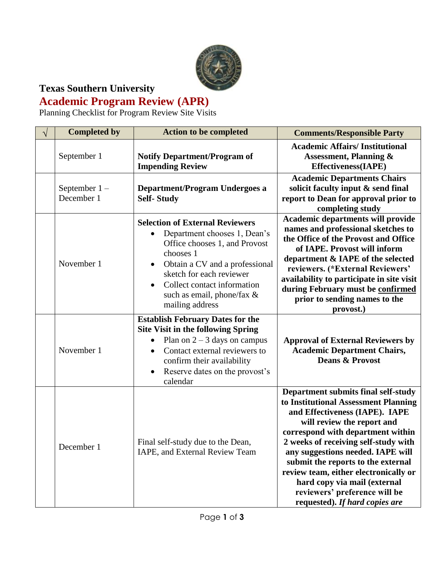

## **Texas Southern University Academic Program Review (APR)**

Planning Checklist for Program Review Site Visits

| <b>Completed by</b>           | <b>Action to be completed</b>                                                                                                                                                                                                                                                   | <b>Comments/Responsible Party</b>                                                                                                                                                                                                                                                                                                                                                                                                               |
|-------------------------------|---------------------------------------------------------------------------------------------------------------------------------------------------------------------------------------------------------------------------------------------------------------------------------|-------------------------------------------------------------------------------------------------------------------------------------------------------------------------------------------------------------------------------------------------------------------------------------------------------------------------------------------------------------------------------------------------------------------------------------------------|
| September 1                   | <b>Notify Department/Program of</b><br><b>Impending Review</b>                                                                                                                                                                                                                  | <b>Academic Affairs/Institutional</b><br><b>Assessment, Planning &amp;</b><br><b>Effectiveness(IAPE)</b>                                                                                                                                                                                                                                                                                                                                        |
| September $1 -$<br>December 1 | Department/Program Undergoes a<br><b>Self-Study</b>                                                                                                                                                                                                                             | <b>Academic Departments Chairs</b><br>solicit faculty input & send final<br>report to Dean for approval prior to<br>completing study                                                                                                                                                                                                                                                                                                            |
| November 1                    | <b>Selection of External Reviewers</b><br>Department chooses 1, Dean's<br>Office chooses 1, and Provost<br>chooses 1<br>Obtain a CV and a professional<br>sketch for each reviewer<br>Collect contact information<br>$\bullet$<br>such as email, phone/fax &<br>mailing address | Academic departments will provide<br>names and professional sketches to<br>the Office of the Provost and Office<br>of IAPE. Provost will inform<br>department & IAPE of the selected<br>reviewers. (*External Reviewers'<br>availability to participate in site visit<br>during February must be confirmed<br>prior to sending names to the<br>provost.)                                                                                        |
| November 1                    | <b>Establish February Dates for the</b><br><b>Site Visit in the following Spring</b><br>Plan on $2 - 3$ days on campus<br>Contact external reviewers to<br>$\bullet$<br>confirm their availability<br>Reserve dates on the provost's<br>$\bullet$<br>calendar                   | <b>Approval of External Reviewers by</b><br><b>Academic Department Chairs,</b><br><b>Deans &amp; Provost</b>                                                                                                                                                                                                                                                                                                                                    |
| December 1                    | Final self-study due to the Dean,<br>IAPE, and External Review Team                                                                                                                                                                                                             | Department submits final self-study<br>to Institutional Assessment Planning<br>and Effectiveness (IAPE). IAPE<br>will review the report and<br>correspond with department within<br>2 weeks of receiving self-study with<br>any suggestions needed. IAPE will<br>submit the reports to the external<br>review team, either electronically or<br>hard copy via mail (external<br>reviewers' preference will be<br>requested). If hard copies are |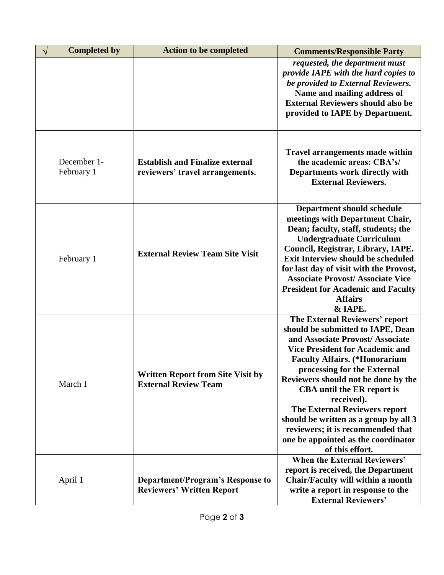| <b>Completed by</b>       | <b>Action to be completed</b>                                               | <b>Comments/Responsible Party</b>                                                                                                                                                                                                                                                                                                                                                                                                                                                          |
|---------------------------|-----------------------------------------------------------------------------|--------------------------------------------------------------------------------------------------------------------------------------------------------------------------------------------------------------------------------------------------------------------------------------------------------------------------------------------------------------------------------------------------------------------------------------------------------------------------------------------|
|                           |                                                                             | requested, the department must<br>provide IAPE with the hard copies to<br>be provided to External Reviewers.<br>Name and mailing address of<br><b>External Reviewers should also be</b><br>provided to IAPE by Department.                                                                                                                                                                                                                                                                 |
| December 1-<br>February 1 | <b>Establish and Finalize external</b><br>reviewers' travel arrangements.   | <b>Travel arrangements made within</b><br>the academic areas: CBA's/<br>Departments work directly with<br><b>External Reviewers.</b>                                                                                                                                                                                                                                                                                                                                                       |
| February 1                | <b>External Review Team Site Visit</b>                                      | <b>Department should schedule</b><br>meetings with Department Chair,<br>Dean; faculty, staff, students; the<br><b>Undergraduate Curriculum</b><br>Council, Registrar, Library, IAPE.<br><b>Exit Interview should be scheduled</b><br>for last day of visit with the Provost,<br><b>Associate Provost/ Associate Vice</b><br><b>President for Academic and Faculty</b><br><b>Affairs</b><br>& IAPE.                                                                                         |
| March 1                   | <b>Written Report from Site Visit by</b><br><b>External Review Team</b>     | The External Reviewers' report<br>should be submitted to IAPE, Dean<br>and Associate Provost/Associate<br><b>Vice President for Academic and</b><br><b>Faculty Affairs.</b> (*Honorarium<br>processing for the External<br>Reviewers should not be done by the<br>CBA until the ER report is<br>received).<br><b>The External Reviewers report</b><br>should be written as a group by all 3<br>reviewers; it is recommended that<br>one be appointed as the coordinator<br>of this effort. |
| April 1                   | <b>Department/Program's Response to</b><br><b>Reviewers' Written Report</b> | When the External Reviewers'<br>report is received, the Department<br>Chair/Faculty will within a month<br>write a report in response to the<br><b>External Reviewers'</b>                                                                                                                                                                                                                                                                                                                 |